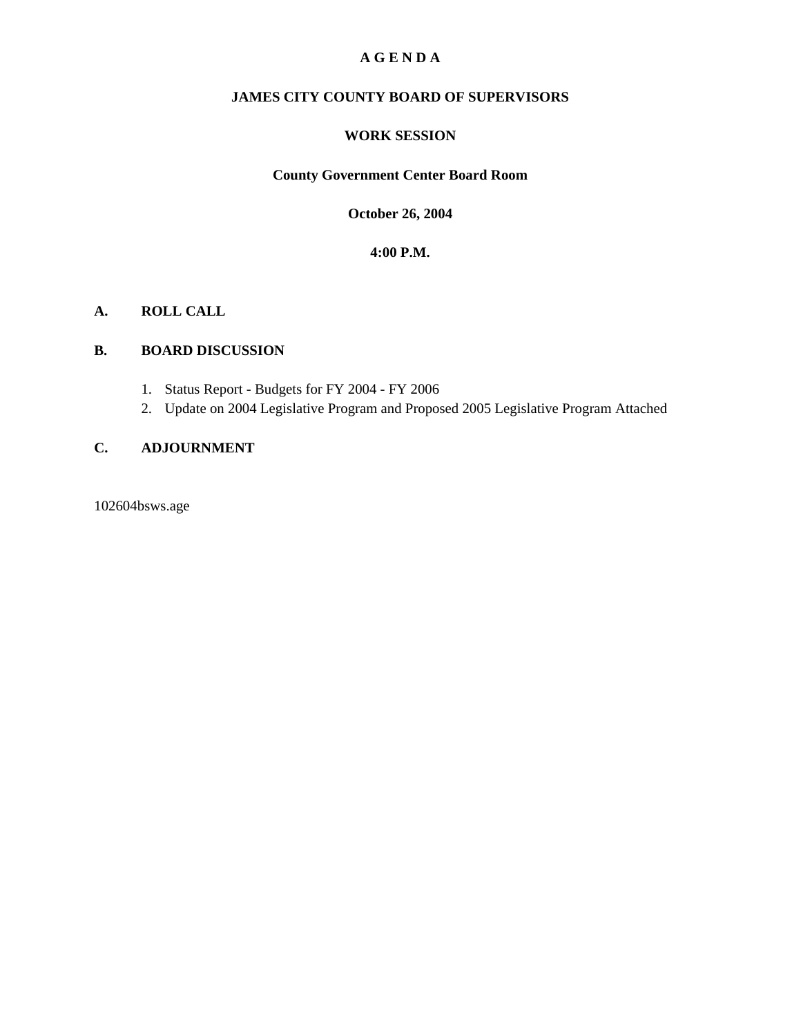### **A G E N D A**

#### **JAMES CITY COUNTY BOARD OF SUPERVISORS**

#### **WORK SESSION**

### **County Government Center Board Room**

**October 26, 2004**

### **4:00 P.M.**

#### **A. ROLL CALL**

#### **B. BOARD DISCUSSION**

- 1. Status Report Budgets for FY 2004 FY 2006
- 2. Update on 2004 Legislative Program and Proposed 2005 Legislative Program Attached

### **C. ADJOURNMENT**

102604bsws.age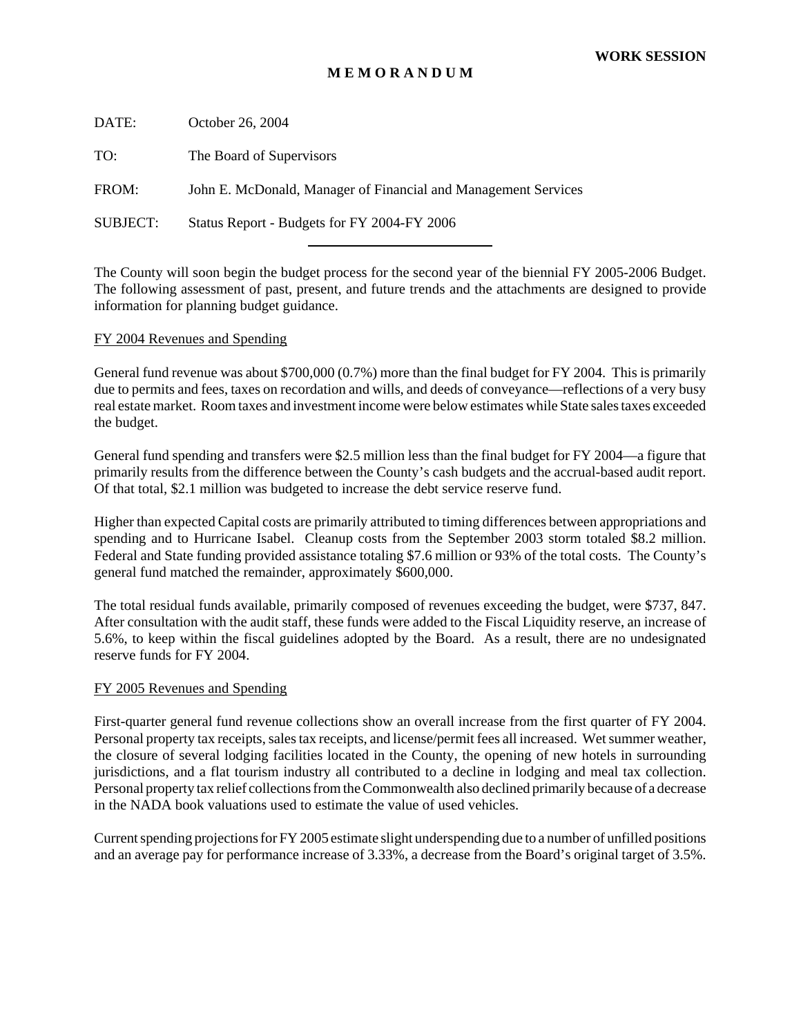#### **M E M O R A N D U M**

| DATE:           | October 26, 2004                                               |
|-----------------|----------------------------------------------------------------|
| TO:             | The Board of Supervisors                                       |
| FROM:           | John E. McDonald, Manager of Financial and Management Services |
| <b>SUBJECT:</b> | Status Report - Budgets for FY 2004-FY 2006                    |
|                 |                                                                |

The County will soon begin the budget process for the second year of the biennial FY 2005-2006 Budget. The following assessment of past, present, and future trends and the attachments are designed to provide information for planning budget guidance.

#### FY 2004 Revenues and Spending

General fund revenue was about \$700,000 (0.7%) more than the final budget for FY 2004. This is primarily due to permits and fees, taxes on recordation and wills, and deeds of conveyance—reflections of a very busy real estate market. Room taxes and investment income were below estimates while State sales taxes exceeded the budget.

General fund spending and transfers were \$2.5 million less than the final budget for FY 2004—a figure that primarily results from the difference between the County's cash budgets and the accrual-based audit report. Of that total, \$2.1 million was budgeted to increase the debt service reserve fund.

Higher than expected Capital costs are primarily attributed to timing differences between appropriations and spending and to Hurricane Isabel. Cleanup costs from the September 2003 storm totaled \$8.2 million. Federal and State funding provided assistance totaling \$7.6 million or 93% of the total costs. The County's general fund matched the remainder, approximately \$600,000.

The total residual funds available, primarily composed of revenues exceeding the budget, were \$737, 847. After consultation with the audit staff, these funds were added to the Fiscal Liquidity reserve, an increase of 5.6%, to keep within the fiscal guidelines adopted by the Board. As a result, there are no undesignated reserve funds for FY 2004.

#### FY 2005 Revenues and Spending

First-quarter general fund revenue collections show an overall increase from the first quarter of FY 2004. Personal property tax receipts, sales tax receipts, and license/permit fees all increased. Wet summer weather, the closure of several lodging facilities located in the County, the opening of new hotels in surrounding jurisdictions, and a flat tourism industry all contributed to a decline in lodging and meal tax collection. Personal property tax relief collections from the Commonwealth also declined primarily because of a decrease in the NADA book valuations used to estimate the value of used vehicles.

Current spending projections for FY 2005 estimate slight underspending due to a number of unfilled positions and an average pay for performance increase of 3.33%, a decrease from the Board's original target of 3.5%.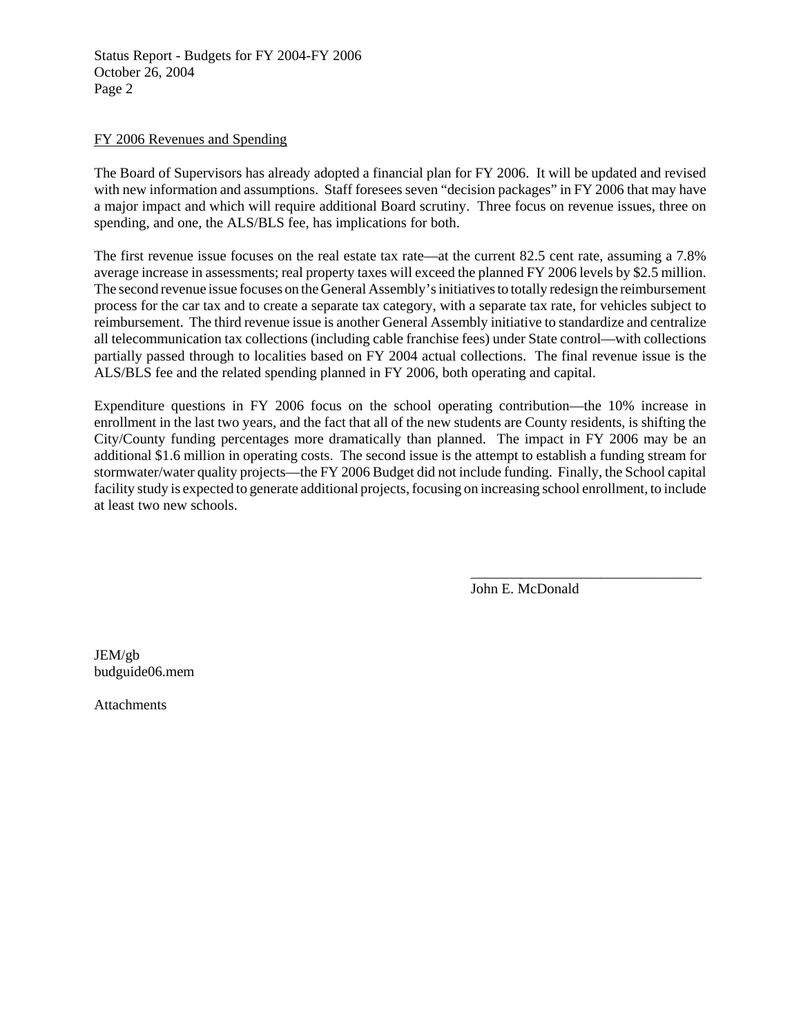Status Report - Budgets for FY 2004-FY 2006 October 26, 2004 Page 2

#### FY 2006 Revenues and Spending

The Board of Supervisors has already adopted a financial plan for FY 2006. It will be updated and revised with new information and assumptions. Staff foresees seven "decision packages" in FY 2006 that may have a major impact and which will require additional Board scrutiny. Three focus on revenue issues, three on spending, and one, the ALS/BLS fee, has implications for both.

The first revenue issue focuses on the real estate tax rate—at the current 82.5 cent rate, assuming a 7.8% average increase in assessments; real property taxes will exceed the planned FY 2006 levels by \$2.5 million. The second revenue issue focuses on the General Assembly's initiatives to totally redesign the reimbursement process for the car tax and to create a separate tax category, with a separate tax rate, for vehicles subject to reimbursement. The third revenue issue is another General Assembly initiative to standardize and centralize all telecommunication tax collections (including cable franchise fees) under State control—with collections partially passed through to localities based on FY 2004 actual collections. The final revenue issue is the ALS/BLS fee and the related spending planned in FY 2006, both operating and capital.

Expenditure questions in FY 2006 focus on the school operating contribution—the 10% increase in enrollment in the last two years, and the fact that all of the new students are County residents, is shifting the City/County funding percentages more dramatically than planned. The impact in FY 2006 may be an additional \$1.6 million in operating costs. The second issue is the attempt to establish a funding stream for stormwater/water quality projects—the FY 2006 Budget did not include funding. Finally, the School capital facility study is expected to generate additional projects, focusing on increasing school enrollment, to include at least two new schools.

John E. McDonald

\_\_\_\_\_\_\_\_\_\_\_\_\_\_\_\_\_\_\_\_\_\_\_\_\_\_\_\_\_\_\_\_

JEM/gb budguide06.mem

Attachments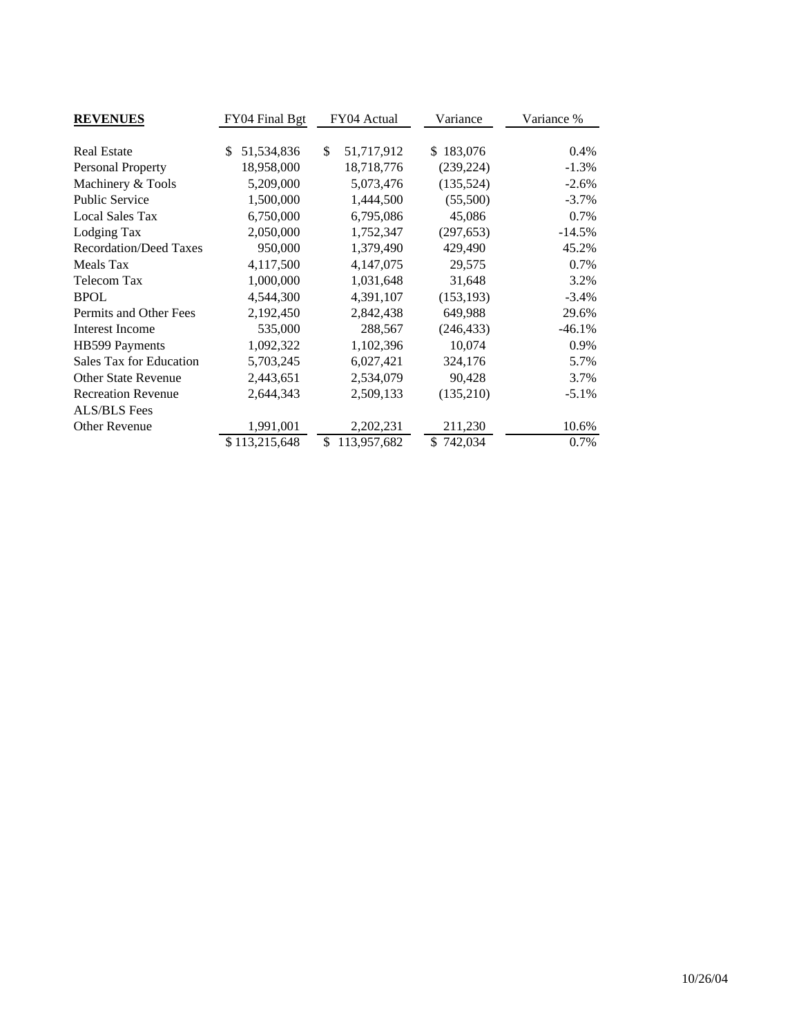| <b>REVENUES</b>               | FY04 Final Bgt   | FY04 Actual       | Variance      | Variance % |  |
|-------------------------------|------------------|-------------------|---------------|------------|--|
|                               |                  |                   |               |            |  |
| <b>Real Estate</b>            | \$<br>51,534,836 | \$<br>51,717,912  | 183,076<br>\$ | $0.4\%$    |  |
| Personal Property             | 18,958,000       | 18,718,776        | (239, 224)    | $-1.3%$    |  |
| Machinery & Tools             | 5,209,000        | 5,073,476         | (135, 524)    | $-2.6%$    |  |
| <b>Public Service</b>         | 1,500,000        | 1,444,500         | (55,500)      | $-3.7\%$   |  |
| <b>Local Sales Tax</b>        | 6,750,000        | 6,795,086         | 45,086        | 0.7%       |  |
| Lodging Tax                   | 2,050,000        | 1,752,347         | (297, 653)    | $-14.5%$   |  |
| <b>Recordation/Deed Taxes</b> | 950,000          | 1,379,490         | 429,490       | 45.2%      |  |
| Meals Tax                     | 4,117,500        | 4,147,075         | 29,575        | 0.7%       |  |
| Telecom Tax                   | 1,000,000        | 1,031,648         | 31,648        | 3.2%       |  |
| <b>BPOL</b>                   | 4,544,300        | 4,391,107         | (153, 193)    | $-3.4%$    |  |
| Permits and Other Fees        | 2,192,450        | 2,842,438         | 649,988       | 29.6%      |  |
| <b>Interest Income</b>        | 535,000          | 288,567           | (246, 433)    | $-46.1%$   |  |
| HB599 Payments                | 1,092,322        | 1,102,396         | 10,074        | 0.9%       |  |
| Sales Tax for Education       | 5,703,245        | 6,027,421         | 324,176       | 5.7%       |  |
| <b>Other State Revenue</b>    | 2,443,651        | 2,534,079         | 90,428        | 3.7%       |  |
| <b>Recreation Revenue</b>     | 2,644,343        | 2,509,133         | (135,210)     | $-5.1\%$   |  |
| <b>ALS/BLS</b> Fees           |                  |                   |               |            |  |
| Other Revenue                 | 1,991,001        | 2,202,231         | 211,230       | 10.6%      |  |
|                               | \$113,215,648    | \$<br>113,957,682 | 742,034<br>\$ | 0.7%       |  |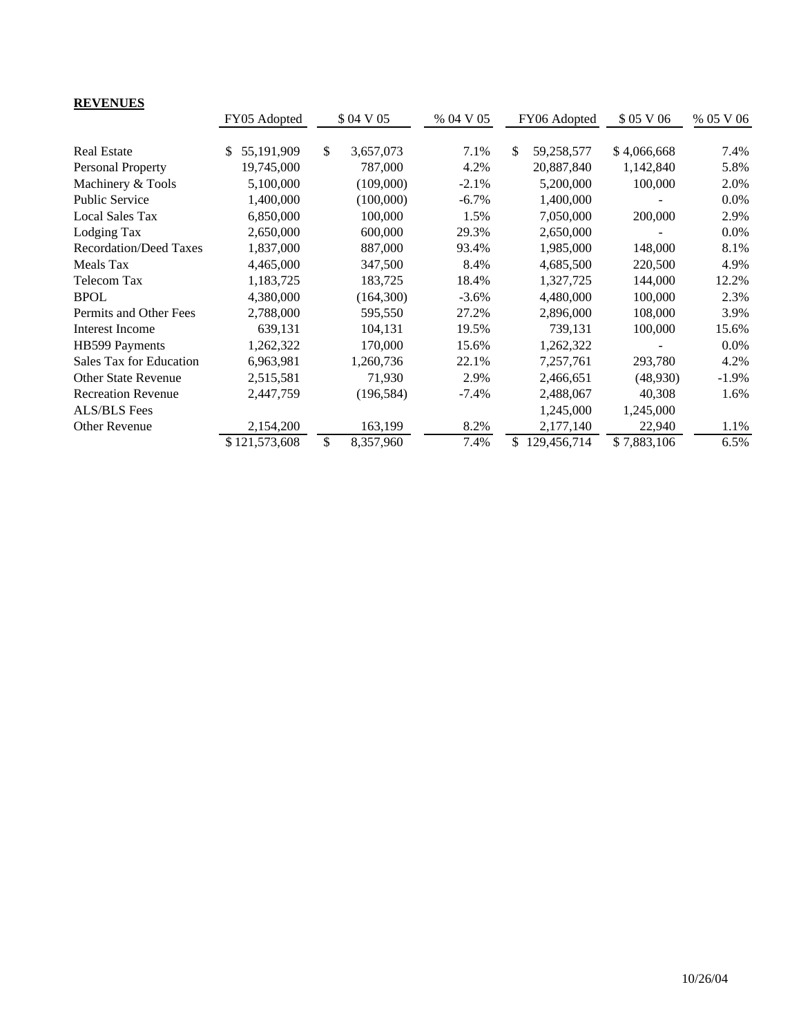| <b>REVENUES</b>               |                  |                 |           |               |              |             |           |
|-------------------------------|------------------|-----------------|-----------|---------------|--------------|-------------|-----------|
|                               | FY05 Adopted     | \$ 04 V 05      | % 04 V 05 |               | FY06 Adopted | \$05 V 06   | % 05 V 06 |
| <b>Real Estate</b>            | 55,191,909<br>S. | \$<br>3,657,073 | 7.1%      | <sup>\$</sup> | 59,258,577   | \$4,066,668 | 7.4%      |
|                               |                  |                 |           |               |              |             |           |
| Personal Property             | 19,745,000       | 787,000         | 4.2%      |               | 20,887,840   | 1,142,840   | 5.8%      |
| Machinery & Tools             | 5,100,000        | (109,000)       | $-2.1%$   |               | 5,200,000    | 100,000     | 2.0%      |
| <b>Public Service</b>         | 1,400,000        | (100,000)       | $-6.7\%$  |               | 1,400,000    |             | $0.0\%$   |
| <b>Local Sales Tax</b>        | 6,850,000        | 100,000         | 1.5%      |               | 7,050,000    | 200,000     | 2.9%      |
| Lodging Tax                   | 2,650,000        | 600,000         | 29.3%     |               | 2,650,000    |             | $0.0\%$   |
| <b>Recordation/Deed Taxes</b> | 1,837,000        | 887,000         | 93.4%     |               | 1,985,000    | 148,000     | 8.1%      |
| Meals Tax                     | 4,465,000        | 347,500         | 8.4%      |               | 4,685,500    | 220,500     | 4.9%      |
| Telecom Tax                   | 1,183,725        | 183,725         | 18.4%     |               | 1,327,725    | 144,000     | 12.2%     |
| <b>BPOL</b>                   | 4,380,000        | (164,300)       | $-3.6%$   |               | 4,480,000    | 100,000     | 2.3%      |
| Permits and Other Fees        | 2,788,000        | 595,550         | 27.2%     |               | 2,896,000    | 108,000     | 3.9%      |
| <b>Interest Income</b>        | 639,131          | 104,131         | 19.5%     |               | 739,131      | 100,000     | 15.6%     |
| HB599 Payments                | 1,262,322        | 170,000         | 15.6%     |               | 1,262,322    |             | $0.0\%$   |
| Sales Tax for Education       | 6,963,981        | 1,260,736       | 22.1%     |               | 7,257,761    | 293,780     | 4.2%      |
| <b>Other State Revenue</b>    | 2,515,581        | 71,930          | 2.9%      |               | 2,466,651    | (48,930)    | $-1.9\%$  |
| <b>Recreation Revenue</b>     | 2,447,759        | (196, 584)      | $-7.4%$   |               | 2,488,067    | 40,308      | 1.6%      |
| ALS/BLS Fees                  |                  |                 |           |               | 1,245,000    | 1,245,000   |           |
| Other Revenue                 | 2,154,200        | 163,199         | 8.2%      |               | 2,177,140    | 22,940      | 1.1%      |
|                               | \$121,573,608    | \$<br>8,357,960 | 7.4%      | \$            | 129,456,714  | \$7,883,106 | 6.5%      |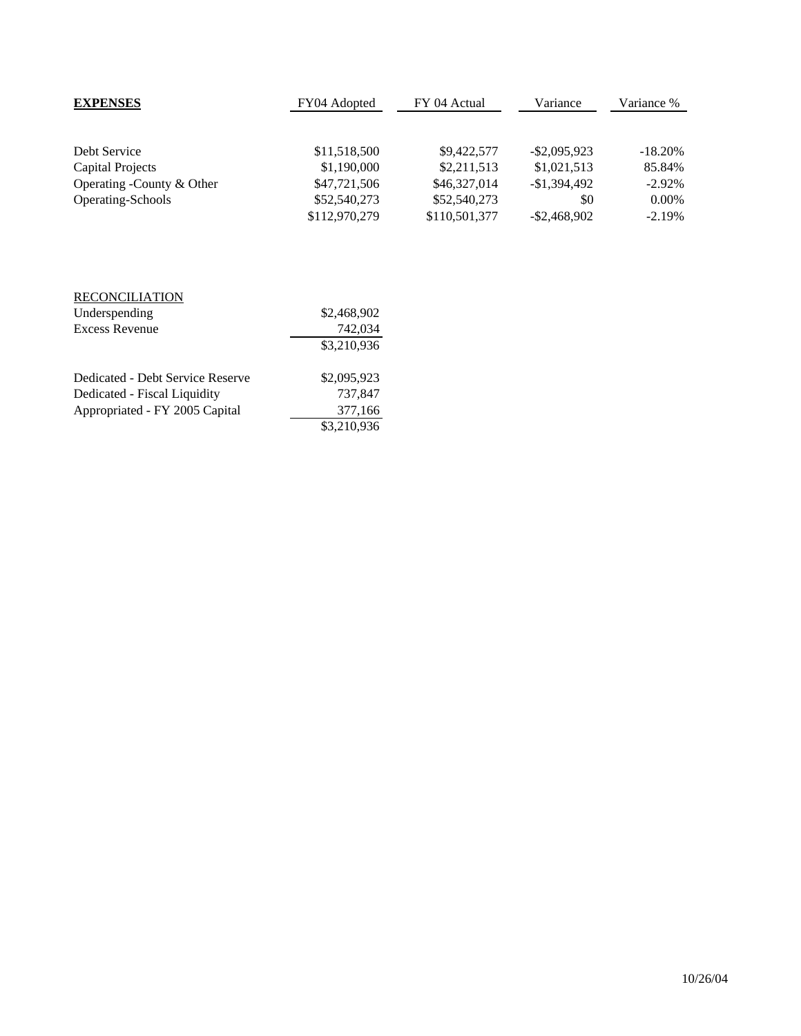| <b>EXPENSES</b>           | FY04 Adopted  | FY 04 Actual  | Variance        | Variance % |  |
|---------------------------|---------------|---------------|-----------------|------------|--|
|                           |               |               |                 |            |  |
| Debt Service              | \$11,518,500  | \$9,422,577   | $-$ \$2,095,923 | $-18.20%$  |  |
| <b>Capital Projects</b>   | \$1,190,000   | \$2,211,513   | \$1,021,513     | 85.84%     |  |
| Operating -County & Other | \$47,721,506  | \$46,327,014  | $-\$1.394.492$  | $-2.92\%$  |  |
| Operating-Schools         | \$52,540,273  | \$52,540,273  | \$0             | $0.00\%$   |  |
|                           | \$112,970,279 | \$110,501,377 | $-$ \$2,468,902 | $-2.19%$   |  |

| <b>RECONCILIATION</b>            |             |
|----------------------------------|-------------|
| Underspending                    | \$2,468,902 |
| <b>Excess Revenue</b>            | 742,034     |
|                                  | \$3,210,936 |
|                                  |             |
| Dedicated - Debt Service Reserve | \$2,095,923 |
| Dedicated - Fiscal Liquidity     | 737,847     |
| Appropriated - FY 2005 Capital   | 377,166     |
|                                  | \$3,210,936 |
|                                  |             |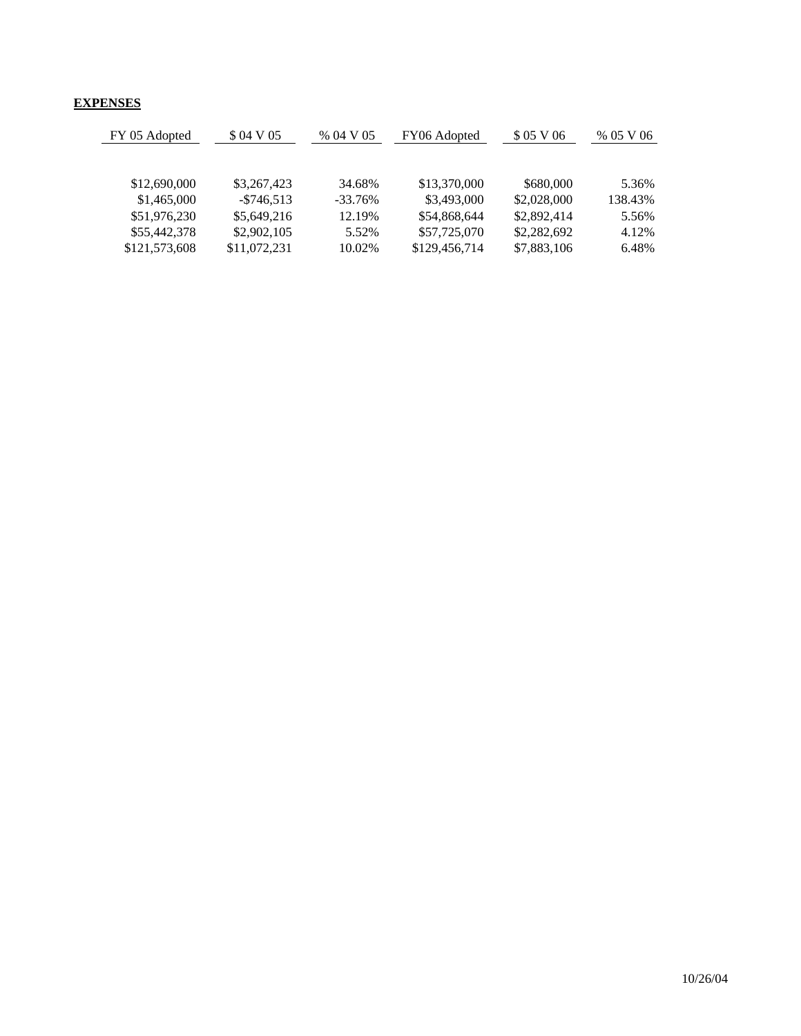## **EXPENSES**

| FY 05 Adopted | \$ 04 V 05    | % 04 V 05 | FY06 Adopted  | \$05 V 06   | % 05 V 06 |
|---------------|---------------|-----------|---------------|-------------|-----------|
|               |               |           |               |             |           |
| \$12,690,000  | \$3,267,423   | 34.68%    | \$13,370,000  | \$680,000   | 5.36%     |
| \$1,465,000   | $-$ \$746.513 | $-33.76%$ | \$3,493,000   | \$2,028,000 | 138.43%   |
| \$51,976,230  | \$5,649,216   | 12.19%    | \$54,868,644  | \$2,892,414 | 5.56%     |
| \$55,442,378  | \$2,902,105   | 5.52%     | \$57,725,070  | \$2,282,692 | 4.12%     |
| \$121,573,608 | \$11,072,231  | 10.02%    | \$129,456,714 | \$7,883,106 | 6.48%     |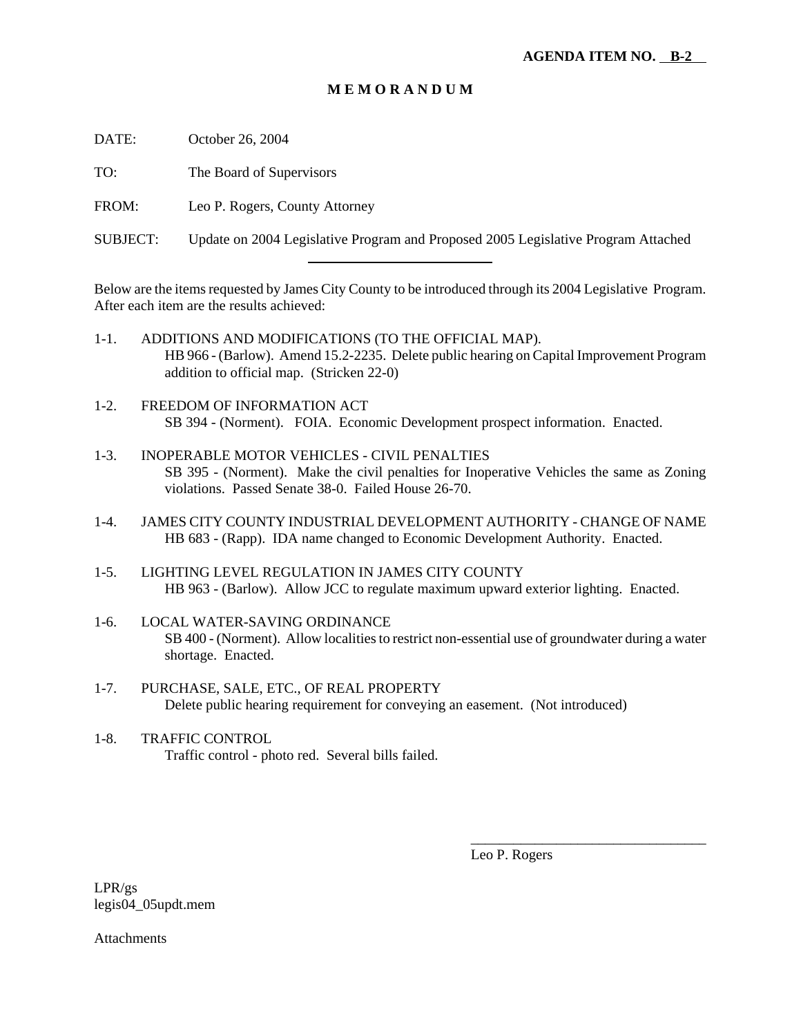### **M E M O R A N D U M**

DATE: October 26, 2004

TO: The Board of Supervisors

FROM: Leo P. Rogers, County Attorney

l

SUBJECT: Update on 2004 Legislative Program and Proposed 2005 Legislative Program Attached

Below are the items requested by James City County to be introduced through its 2004 Legislative Program. After each item are the results achieved:

- 1-1. ADDITIONS AND MODIFICATIONS (TO THE OFFICIAL MAP). HB 966 - (Barlow). Amend 15.2-2235. Delete public hearing on Capital Improvement Program addition to official map. (Stricken 22-0)
- 1-2. FREEDOM OF INFORMATION ACT SB 394 - (Norment). FOIA. Economic Development prospect information. Enacted.
- 1-3. INOPERABLE MOTOR VEHICLES CIVIL PENALTIES SB 395 - (Norment). Make the civil penalties for Inoperative Vehicles the same as Zoning violations. Passed Senate 38-0. Failed House 26-70.
- 1-4. JAMES CITY COUNTY INDUSTRIAL DEVELOPMENT AUTHORITY CHANGE OF NAME HB 683 - (Rapp). IDA name changed to Economic Development Authority. Enacted.
- 1-5. LIGHTING LEVEL REGULATION IN JAMES CITY COUNTY HB 963 - (Barlow). Allow JCC to regulate maximum upward exterior lighting. Enacted.
- 1-6. LOCAL WATER-SAVING ORDINANCE SB 400 - (Norment). Allow localities to restrict non-essential use of groundwater during a water shortage. Enacted.
- 1-7. PURCHASE, SALE, ETC., OF REAL PROPERTY Delete public hearing requirement for conveying an easement. (Not introduced)
- 1-8. TRAFFIC CONTROL Traffic control - photo red. Several bills failed.

Leo P. Rogers

\_\_\_\_\_\_\_\_\_\_\_\_\_\_\_\_\_\_\_\_\_\_\_\_\_\_\_\_\_\_\_\_\_

LPR/gs legis04\_05updt.mem

**Attachments**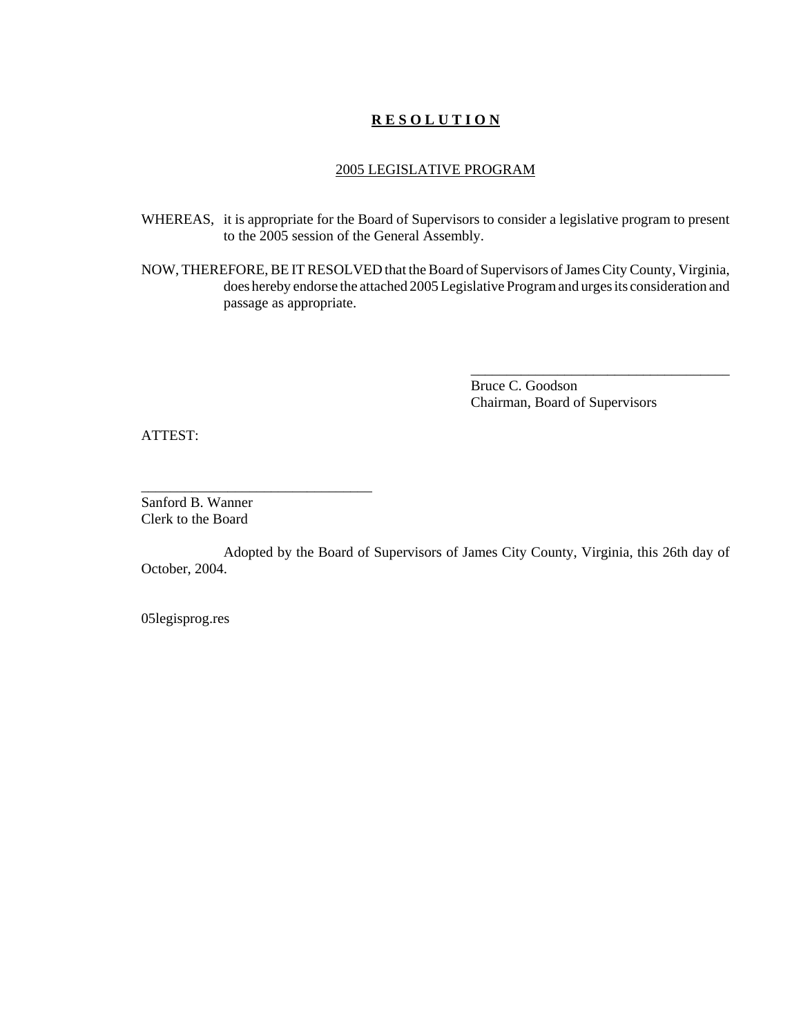### **R E S O L U T I O N**

#### 2005 LEGISLATIVE PROGRAM

- WHEREAS, it is appropriate for the Board of Supervisors to consider a legislative program to present to the 2005 session of the General Assembly.
- NOW, THEREFORE, BE IT RESOLVED that the Board of Supervisors of James City County, Virginia, does hereby endorse the attached 2005 Legislative Program and urges its consideration and passage as appropriate.

Bruce C. Goodson Chairman, Board of Supervisors

\_\_\_\_\_\_\_\_\_\_\_\_\_\_\_\_\_\_\_\_\_\_\_\_\_\_\_\_\_\_\_\_\_\_\_\_

ATTEST:

Sanford B. Wanner Clerk to the Board

\_\_\_\_\_\_\_\_\_\_\_\_\_\_\_\_\_\_\_\_\_\_\_\_\_\_\_\_\_\_\_\_

Adopted by the Board of Supervisors of James City County, Virginia, this 26th day of October, 2004.

05legisprog.res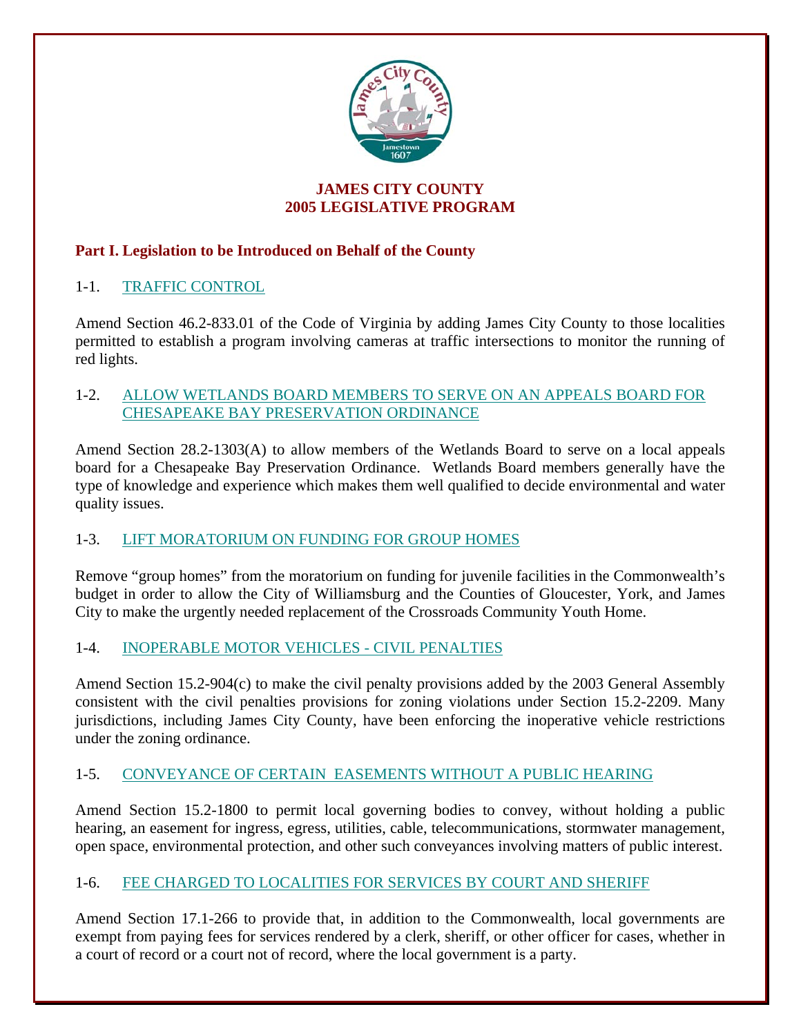

## **JAMES CITY COUNTY 2005 LEGISLATIVE PROGRAM**

# **Part I. Legislation to be Introduced on Behalf of the County**

# 1-1. TRAFFIC CONTROL

Amend Section 46.2-833.01 of the Code of Virginia by adding James City County to those localities permitted to establish a program involving cameras at traffic intersections to monitor the running of red lights.

# 1-2. ALLOW WETLANDS BOARD MEMBERS TO SERVE ON AN APPEALS BOARD FOR CHESAPEAKE BAY PRESERVATION ORDINANCE

Amend Section 28.2-1303(A) to allow members of the Wetlands Board to serve on a local appeals board for a Chesapeake Bay Preservation Ordinance. Wetlands Board members generally have the type of knowledge and experience which makes them well qualified to decide environmental and water quality issues.

# 1-3. LIFT MORATORIUM ON FUNDING FOR GROUP HOMES

Remove "group homes" from the moratorium on funding for juvenile facilities in the Commonwealth's budget in order to allow the City of Williamsburg and the Counties of Gloucester, York, and James City to make the urgently needed replacement of the Crossroads Community Youth Home.

# 1-4. INOPERABLE MOTOR VEHICLES - CIVIL PENALTIES

Amend Section 15.2-904(c) to make the civil penalty provisions added by the 2003 General Assembly consistent with the civil penalties provisions for zoning violations under Section 15.2-2209. Many jurisdictions, including James City County, have been enforcing the inoperative vehicle restrictions under the zoning ordinance.

# 1-5. CONVEYANCE OF CERTAIN EASEMENTS WITHOUT A PUBLIC HEARING

Amend Section 15.2-1800 to permit local governing bodies to convey, without holding a public hearing, an easement for ingress, egress, utilities, cable, telecommunications, stormwater management, open space, environmental protection, and other such conveyances involving matters of public interest.

# 1-6. FEE CHARGED TO LOCALITIES FOR SERVICES BY COURT AND SHERIFF

Amend Section 17.1-266 to provide that, in addition to the Commonwealth, local governments are exempt from paying fees for services rendered by a clerk, sheriff, or other officer for cases, whether in a court of record or a court not of record, where the local government is a party.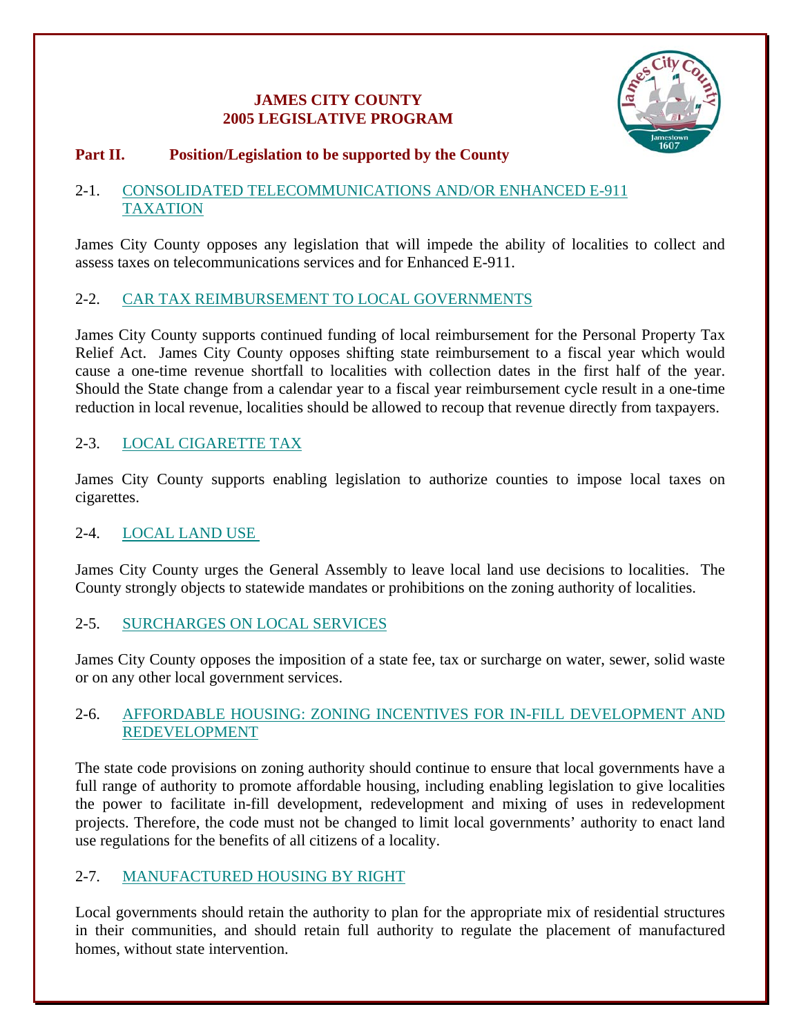# **JAMES CITY COUNTY 2005 LEGISLATIVE PROGRAM**



# **Part II. Position/Legislation to be supported by the County**

## 2-1. CONSOLIDATED TELECOMMUNICATIONS AND/OR ENHANCED E-911 TAXATION

James City County opposes any legislation that will impede the ability of localities to collect and assess taxes on telecommunications services and for Enhanced E-911.

# 2-2. CAR TAX REIMBURSEMENT TO LOCAL GOVERNMENTS

James City County supports continued funding of local reimbursement for the Personal Property Tax Relief Act. James City County opposes shifting state reimbursement to a fiscal year which would cause a one-time revenue shortfall to localities with collection dates in the first half of the year. Should the State change from a calendar year to a fiscal year reimbursement cycle result in a one-time reduction in local revenue, localities should be allowed to recoup that revenue directly from taxpayers.

# 2-3. LOCAL CIGARETTE TAX

James City County supports enabling legislation to authorize counties to impose local taxes on cigarettes.

## 2-4. LOCAL LAND USE

James City County urges the General Assembly to leave local land use decisions to localities. The County strongly objects to statewide mandates or prohibitions on the zoning authority of localities.

## 2-5. SURCHARGES ON LOCAL SERVICES

James City County opposes the imposition of a state fee, tax or surcharge on water, sewer, solid waste or on any other local government services.

## 2-6. AFFORDABLE HOUSING: ZONING INCENTIVES FOR IN-FILL DEVELOPMENT AND REDEVELOPMENT

The state code provisions on zoning authority should continue to ensure that local governments have a full range of authority to promote affordable housing, including enabling legislation to give localities the power to facilitate in-fill development, redevelopment and mixing of uses in redevelopment projects. Therefore, the code must not be changed to limit local governments' authority to enact land use regulations for the benefits of all citizens of a locality.

# 2-7. MANUFACTURED HOUSING BY RIGHT

Local governments should retain the authority to plan for the appropriate mix of residential structures in their communities, and should retain full authority to regulate the placement of manufactured homes, without state intervention.